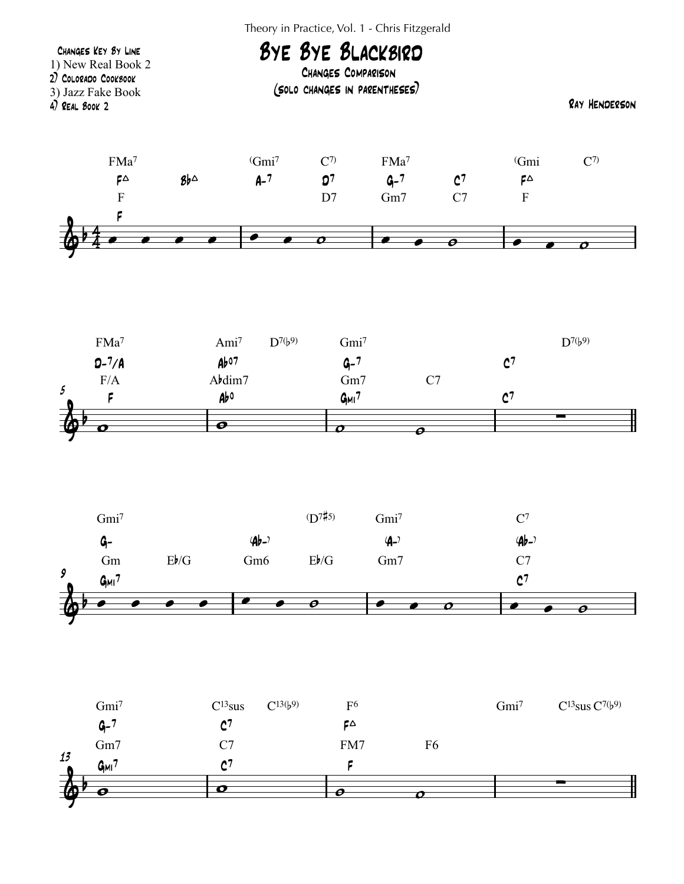Theory in Practice, Vol. 1 - Chris Fitzgerald







| $\mathbf{\Phi}$       |              |                                 |    |                  |                                       |
|-----------------------|--------------|---------------------------------|----|------------------|---------------------------------------|
| 13<br>G <sub>MI</sub> |              |                                 |    |                  |                                       |
| Gm7                   | C7           | FM7                             | F6 |                  |                                       |
| $G - 7$               |              | ÇΔ                              |    |                  |                                       |
| Gmi <sup>7</sup>      | $C^{13}$ sus | $C^{13}(b^9)$<br>F <sup>6</sup> |    | Gmi <sup>7</sup> | $C^{13}$ sus $C^{7}$ (b <sup>9)</sup> |